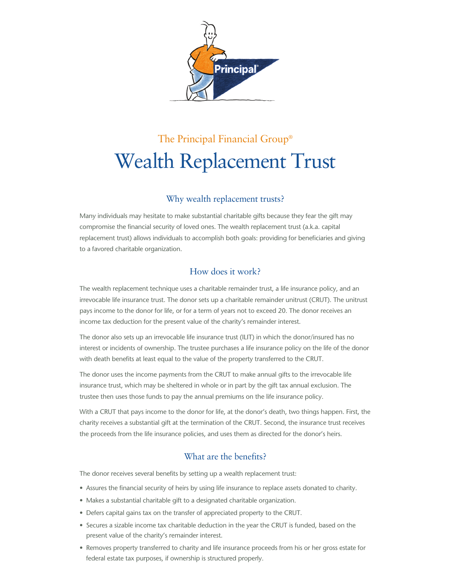

# The Principal Financial Group® Wealth Replacement Trust

## Why wealth replacement trusts?

Many individuals may hesitate to make substantial charitable gifts because they fear the gift may compromise the financial security of loved ones. The wealth replacement trust (a.k.a. capital replacement trust) allows individuals to accomplish both goals: providing for beneficiaries and giving to a favored charitable organization.

## How does it work?

The wealth replacement technique uses a charitable remainder trust, a life insurance policy, and an irrevocable life insurance trust. The donor sets up a charitable remainder unitrust (CRUT). The unitrust pays income to the donor for life, or for a term of years not to exceed 20. The donor receives an income tax deduction for the present value of the charity's remainder interest.

The donor also sets up an irrevocable life insurance trust (ILIT) in which the donor/insured has no interest or incidents of ownership. The trustee purchases a life insurance policy on the life of the donor with death benefits at least equal to the value of the property transferred to the CRUT.

The donor uses the income payments from the CRUT to make annual gifts to the irrevocable life insurance trust, which may be sheltered in whole or in part by the gift tax annual exclusion. The trustee then uses those funds to pay the annual premiums on the life insurance policy.

With a CRUT that pays income to the donor for life, at the donor's death, two things happen. First, the charity receives a substantial gift at the termination of the CRUT. Second, the insurance trust receives the proceeds from the life insurance policies, and uses them as directed for the donor's heirs.

## What are the benefits?

The donor receives several benefits by setting up a wealth replacement trust:

- Assures the financial security of heirs by using life insurance to replace assets donated to charity.
- Makes a substantial charitable gift to a designated charitable organization.
- Defers capital gains tax on the transfer of appreciated property to the CRUT.
- Secures a sizable income tax charitable deduction in the year the CRUT is funded, based on the present value of the charity's remainder interest.
- Removes property transferred to charity and life insurance proceeds from his or her gross estate for federal estate tax purposes, if ownership is structured properly.